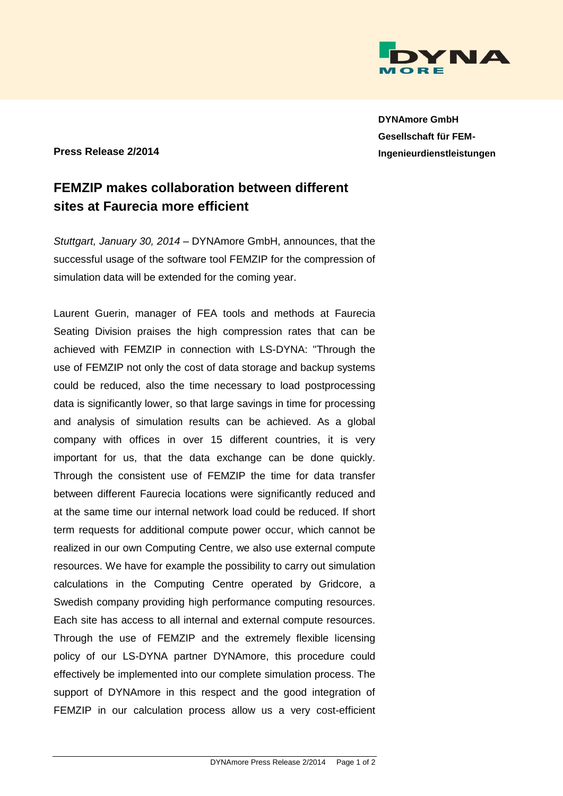

**DYNAmore GmbH Gesellschaft für FEM-Ingenieurdienstleistungen**

## **Press Release 2/2014**

## **FEMZIP makes collaboration between different sites at Faurecia more efficient**

*Stuttgart, January 30, 2014* – DYNAmore GmbH, announces, that the successful usage of the software tool FEMZIP for the compression of simulation data will be extended for the coming year.

Laurent Guerin, manager of FEA tools and methods at Faurecia Seating Division praises the high compression rates that can be achieved with FEMZIP in connection with LS-DYNA: "Through the use of FEMZIP not only the cost of data storage and backup systems could be reduced, also the time necessary to load postprocessing data is significantly lower, so that large savings in time for processing and analysis of simulation results can be achieved. As a global company with offices in over 15 different countries, it is very important for us, that the data exchange can be done quickly. Through the consistent use of FEMZIP the time for data transfer between different Faurecia locations were significantly reduced and at the same time our internal network load could be reduced. If short term requests for additional compute power occur, which cannot be realized in our own Computing Centre, we also use external compute resources. We have for example the possibility to carry out simulation calculations in the Computing Centre operated by Gridcore, a Swedish company providing high performance computing resources. Each site has access to all internal and external compute resources. Through the use of FEMZIP and the extremely flexible licensing policy of our LS-DYNA partner DYNAmore, this procedure could effectively be implemented into our complete simulation process. The support of DYNAmore in this respect and the good integration of FEMZIP in our calculation process allow us a very cost-efficient